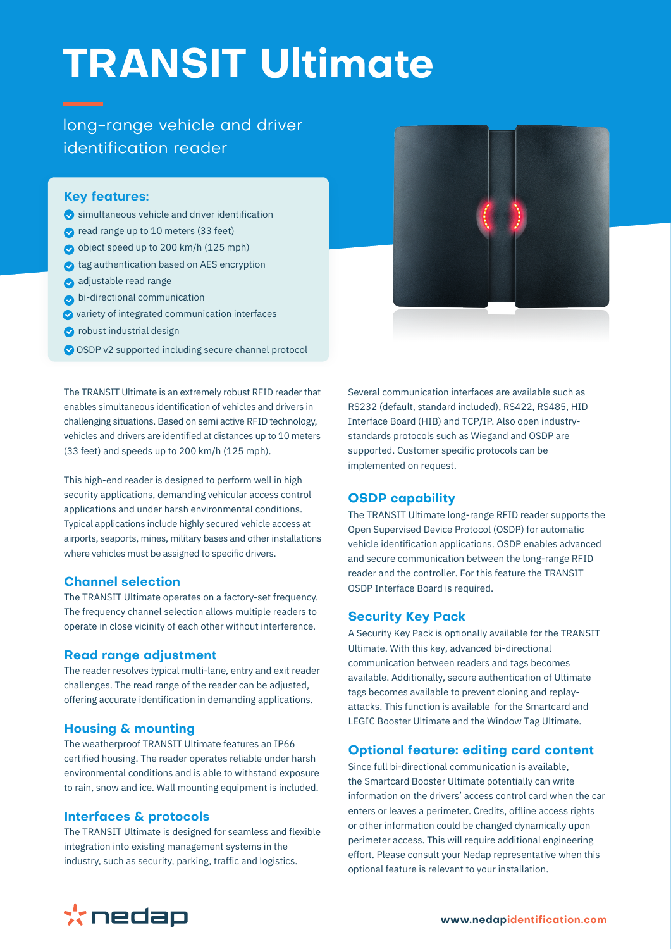# **TRANSIT Ultimate**

# long-range vehicle and driver identification reader

#### **Key features:**

- simultaneous vehicle and driver identification
- read range up to 10 meters (33 feet)
- object speed up to 200 km/h (125 mph)
- tag authentication based on AES encryption
- adjustable read range
- bi-directional communication
- $\bullet$  variety of integrated communication interfaces
- **O** robust industrial design
- OSDP v2 supported including secure channel protocol

The TRANSIT Ultimate is an extremely robust RFID reader that enables simultaneous identification of vehicles and drivers in challenging situations. Based on semi active RFID technology, vehicles and drivers are identified at distances up to 10 meters (33 feet) and speeds up to 200 km/h (125 mph).

This high-end reader is designed to perform well in high security applications, demanding vehicular access control applications and under harsh environmental conditions. Typical applications include highly secured vehicle access at airports, seaports, mines, military bases and other installations where vehicles must be assigned to specific drivers.

# **Channel selection**

The TRANSIT Ultimate operates on a factory-set frequency. The frequency channel selection allows multiple readers to operate in close vicinity of each other without interference.

#### **Read range adjustment**

The reader resolves typical multi-lane, entry and exit reader challenges. The read range of the reader can be adjusted, offering accurate identification in demanding applications.

# **Housing & mounting**

The weatherproof TRANSIT Ultimate features an IP66 certified housing. The reader operates reliable under harsh environmental conditions and is able to withstand exposure to rain, snow and ice. Wall mounting equipment is included.

#### **Interfaces & protocols**

The TRANSIT Ultimate is designed for seamless and flexible integration into existing management systems in the industry, such as security, parking, traffic and logistics.



Several communication interfaces are available such as RS232 (default, standard included), RS422, RS485, HID Interface Board (HIB) and TCP/IP. Also open industrystandards protocols such as Wiegand and OSDP are supported. Customer specific protocols can be implemented on request.

# **OSDP capability**

The TRANSIT Ultimate long-range RFID reader supports the Open Supervised Device Protocol (OSDP) for automatic vehicle identification applications. OSDP enables advanced and secure communication between the long-range RFID reader and the controller. For this feature the TRANSIT OSDP Interface Board is required.

#### **Security Key Pack**

A Security Key Pack is optionally available for the TRANSIT Ultimate. With this key, advanced bi-directional communication between readers and tags becomes available. Additionally, secure authentication of Ultimate tags becomes available to prevent cloning and replayattacks. This function is available for the Smartcard and LEGIC Booster Ultimate and the Window Tag Ultimate.

# **Optional feature: editing card content**

Since full bi-directional communication is available, the Smartcard Booster Ultimate potentially can write information on the drivers' access control card when the car enters or leaves a perimeter. Credits, offline access rights or other information could be changed dynamically upon perimeter access. This will require additional engineering effort. Please consult your Nedap representative when this optional feature is relevant to your installation.